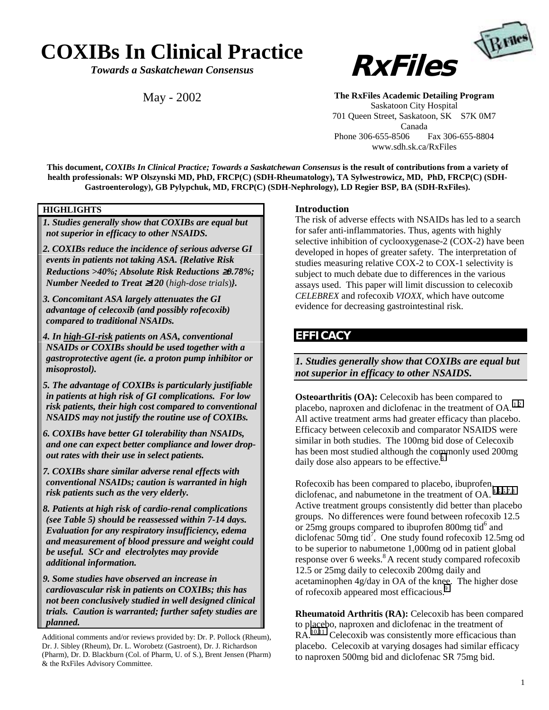# **COXIBs In Clinical Practice**

*Towards a Saskatchewan Consensus*

May - 2002



**The RxFiles Academic Detailing Program** Saskatoon City Hospital 701 Queen Street, Saskatoon, SK S7K 0M7 Canada Phone 306-655-8506 Fax 306-655-8804 www.sdh.sk.ca/RxFiles

**This document,** *COXIBs In Clinical Practice; Towards a Saskatchewan Consensus* **is the result of contributions from a variety of health professionals: WP Olszynski MD, PhD, FRCP(C) (SDH-Rheumatology), TA Sylwestrowicz, MD, PhD, FRCP(C) (SDH-Gastroenterology), GB Pylypchuk, MD, FRCP(C) (SDH-Nephrology), LD Regier BSP, BA (SDH-RxFiles).**

### **HIGHLIGHTS**

*1. Studies generally show that COXIBs are equal but not superior in efficacy to other NSAIDS.*

- *2. COXIBs reduce the incidence of serious adverse GI events in patients not taking ASA. {Relative Risk Reductions >40%; Absolute Risk Reductions* ≥*0.78%; Number Needed to Treat* ≥*120* (*high-dose trials*)*}.*
- *3. Concomitant ASA largely attenuates the GI advantage of celecoxib (and possibly rofecoxib) compared to traditional NSAIDs.*
- *4. In high-GI-risk patients on ASA, conventional NSAIDs or COXIBs should be used together with a gastroprotective agent (ie. a proton pump inhibitor or misoprostol).*
- *5. The advantage of COXIBs is particularly justifiable in patients at high risk of GI complications. For low risk patients, their high cost compared to conventional NSAIDS may not justify the routine use of COXIBs.*
- *6. COXIBs have better GI tolerability than NSAIDs, and one can expect better compliance and lower dropout rates with their use in select patients.*
- *7. COXIBs share similar adverse renal effects with conventional NSAIDs; caution is warranted in high risk patients such as the very elderly.*
- *8. Patients at high risk of cardio-renal complications (see Table 5) should be reassessed within 7-14 days. Evaluation for any respiratory insufficiency, edema and measurement of blood pressure and weight could be useful. SCr and electrolytes may provide additional information.*

*9. Some studies have observed an increase in cardiovascular risk in patients on COXIBs; this has not been conclusively studied in well designed clinical trials. Caution is warranted; further safety studies are planned.*

Additional comments and/or reviews provided by: Dr. P. Pollock (Rheum), Dr. J. Sibley (Rheum), Dr. L. Worobetz (Gastroent), Dr. J. Richardson (Pharm), Dr. D. Blackburn (Col. of Pharm, U. of S.), Brent Jensen (Pharm) & the RxFiles Advisory Committee.

#### **Introduction**

The risk of adverse effects with NSAIDs has led to a search for safer anti-inflammatories. Thus, agents with highly selective inhibition of cyclooxygenase-2 (COX-2) have been developed in hopes of greater safety. The interpretation of studies measuring relative COX-2 to COX-1 selectivity is subject to much debate due to differences in the various assays used. This paper will limit discussion to celecoxib *CELEBREX* and rofecoxib *VIOXX,* which have outcome evidence for decreasing gastrointestinal risk.

### **EFFICACY**

*1. Studies generally show that COXIBs are equal but not superior in efficacy to other NSAIDS.*

**Osteoarthritis (OA):** Celecoxib has been compared to placebo, naproxen and diclofenac in the treatment of OA.<sup>1,2</sup> All active treatment arms had greater efficacy than placebo. Efficacy between celecoxib and comparator NSAIDS were similar in both studies. The 100mg bid dose of Celecoxib has been most studied although the commonly used 200mg daily dose also appears to be effective.<sup>[3](#page-7-0)</sup>

Rofecoxib has been compared to placebo, ibuprofen, diclofenac, and nabumetone in the treatment of OA.<sup>[4,5,6,7,8](#page-7-0)</sup> Active treatment groups consistently did better than placebo groups. No differences were found between rofecoxib 12.5 or  $25$ mg groups compared to ibuprofen 800mg tid $^{6}$  and diclofenac 50mg tid<sup>7</sup>. One study found rofecoxib 12.5mg od to be superior to nabumetone 1,000mg od in patient global response over 6 weeks.<sup>8</sup> A recent study compared rofecoxib 12.5 or 25mg daily to celecoxib 200mg daily and acetaminophen 4g/day in OA of the knee. The higher dose of rofecoxib appeared most efficacious.<sup>9</sup>

**Rheumatoid Arthritis (RA):** Celecoxib has been compared to placebo, naproxen and diclofenac in the treatment of RA.<sup>10,11</sup> Celecoxib was consistently more efficacious than placebo. Celecoxib at varying dosages had similar efficacy to naproxen 500mg bid and diclofenac SR 75mg bid.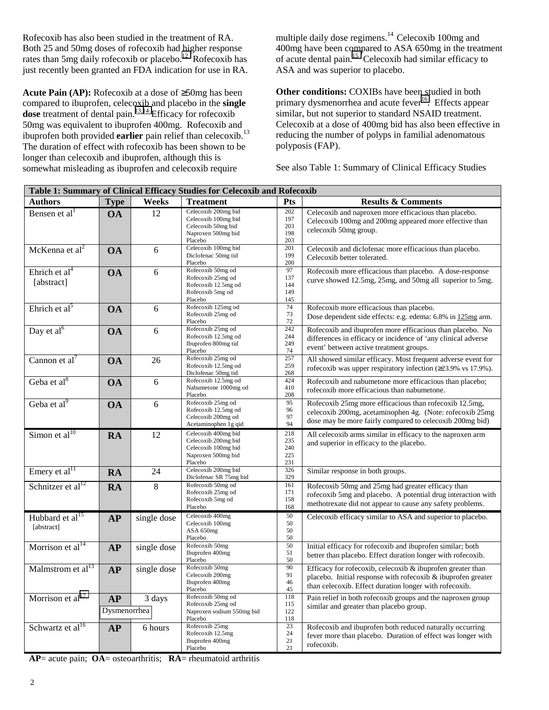Rofecoxib has also been studied in the treatment of RA. Both 25 and 50mg doses of rofecoxib had higher response rates than 5mg daily rofecoxib or placebo.<sup>12</sup> Rofecoxib has just recently been granted an FDA indication for use in RA.

**Acute Pain (AP):** Rofecoxib at a dose of ≥50mg has been compared to ibuprofen, celecoxib and placebo in the **single dose** treatment of dental pain.<sup>13,14</sup> Efficacy for rofecoxib 50mg was equivalent to ibuprofen 400mg. Rofecoxib and ibuprofen both provided **earlier** pain relief than celecoxib.<sup>13</sup> The duration of effect with rofecoxib has been shown to be longer than celecoxib and ibuprofen, although this is somewhat misleading as ibuprofen and celecoxib require

multiple daily dose regimens.<sup>14</sup> Celecoxib 100mg and 400mg have been compared to ASA 650mg in the treatment of acute dental pain.<sup>15</sup> Celecoxib had similar efficacy to ASA and was superior to placebo.

**Other conditions:** COXIBs have been studied in both primary dysmenorrhea and acute fever<sup>16</sup>. Effects appear similar, but not superior to standard NSAID treatment. Celecoxib at a dose of 400mg bid has also been effective in reducing the number of polyps in familial adenomatous polyposis (FAP).

See also Table 1: Summary of Clinical Efficacy Studies

| Table 1: Summary of Clinical Efficacy Studies for Celecoxib and Rofecoxib |                    |             |                                                                                                    |                                 |                                                                                                                                                                                      |  |
|---------------------------------------------------------------------------|--------------------|-------------|----------------------------------------------------------------------------------------------------|---------------------------------|--------------------------------------------------------------------------------------------------------------------------------------------------------------------------------------|--|
| <b>Authors</b>                                                            | <b>Type</b>        | Weeks       | <b>Treatment</b>                                                                                   | Pts                             | <b>Results &amp; Comments</b>                                                                                                                                                        |  |
| Bensen et $al1$                                                           | <b>OA</b>          | 12          | Celecoxib 200mg bid<br>Celecoxib 100mg bid<br>Celecoxib 50mg bid<br>Naproxen 500mg bid<br>Placebo  | 202<br>197<br>203<br>198<br>203 | Celecoxib and naproxen more efficacious than placebo.<br>Celecoxib 100mg and 200mg appeared more effective than<br>celecoxib 50mg group.                                             |  |
| McKenna et $al2$                                                          | <b>OA</b>          | 6           | Celecoxib 100mg bid<br>Diclofenac 50mg tid<br>Placebo                                              | 201<br>199<br>200               | Celecoxib and diclofenac more efficacious than placebo.<br>Celecoxib better tolerated.                                                                                               |  |
| Ehrich et $al4$<br>[abstract]                                             | <b>OA</b>          | 6           | Rofecoxib 50mg od<br>Rofecoxib 25mg od<br>Rofecoxib 12.5mg od<br>Rofecoxib 5mg od<br>Placebo       | 97<br>137<br>144<br>149<br>145  | Rofecoxib more efficacious than placebo. A dose-response<br>curve showed 12.5mg, 25mg, and 50mg all superior to 5mg.                                                                 |  |
| Ehrich et $al5$                                                           | <b>OA</b>          | 6           | Rofecoxib 125mg od<br>Rofecoxib 25mg od<br>Placebo                                                 | 74<br>73<br>72                  | Rofecoxib more efficacious than placebo.<br>Dose dependent side effects: e.g. edema: 6.8% in 125mg arm.                                                                              |  |
| Day et al <sup>6</sup>                                                    | <b>OA</b>          | 6           | Rofecoxib 25mg od<br>Rofecoxib 12.5mg od<br>Ibuprofen 800mg tid<br>Placebo                         | 242<br>244<br>249<br>74         | Rofecoxib and ibuprofen more efficacious than placebo. No<br>differences in efficacy or incidence of 'any clinical adverse<br>event' between active treatment groups.                |  |
| Cannon et $al^7$                                                          | <b>OA</b>          | 26          | Rofecoxib 25mg od<br>Rofecoxib 12.5mg od<br>Diclofenac 50mg tid                                    | 257<br>259<br>268               | All showed similar efficacy. Most frequent adverse event for<br>rofecoxib was upper respiratory infection (≥23.9% vs 17.9%).                                                         |  |
| Geba et al <sup>8</sup>                                                   | <b>OA</b>          | 6           | Rofecoxib 12.5mg od<br>Nabumetone 1000mg od<br>Placebo                                             | 424<br>410<br>208               | Rofecoxib and nabumetone more efficacious than placebo;<br>rofecoxib more efficacious than nabumetone.                                                                               |  |
| Geba et al <sup>9</sup>                                                   | <b>OA</b>          | 6           | Rofecoxib 25mg od<br>Rofecoxib 12.5mg od<br>Celecoxib 200mg od<br>Acetaminophen 1g qid             | 95<br>96<br>97<br>94            | Rofecoxib 25mg more efficacious than rofecoxib 12.5mg,<br>celecoxib 200mg, acetaminophen 4g. (Note: rofecoxib 25mg<br>dose may be more fairly compared to celecoxib 200mg bid)       |  |
| Simon et al $^{10}$                                                       | RA                 | 12          | Celecoxib 400mg bid<br>Celecoxib 200mg bid<br>Celecoxib 100mg bid<br>Naproxen 500mg bid<br>Placebo | 218<br>235<br>240<br>225<br>231 | All celecoxib arms similar in efficacy to the naproxen arm<br>and superior in efficacy to the placebo.                                                                               |  |
| Emery et al <sup>11</sup>                                                 | <b>RA</b>          | 24          | Celecoxib 200mg bid<br>Diclofenac SR 75mg bid                                                      | 326<br>329                      | Similar response in both groups.                                                                                                                                                     |  |
| Schnitzer et al $^{12}$                                                   | <b>RA</b>          | 8           | Rofecoxib 50mg od<br>Rofecoxib 25mg od<br>Rofecoxib 5mg od<br>Placebo                              | 161<br>171<br>158<br>168        | Rofecoxib 50mg and 25mg had greater efficacy than<br>rofecoxib 5mg and placebo. A potential drug interaction with<br>methotrexate did not appear to cause any safety problems.       |  |
| Hubbard et al <sup>15</sup><br>[abstract]                                 | AP                 | single dose | Celecoxib 400mg<br>Celecoxib 100mg<br>ASA 650mg<br>Placebo                                         | 50<br>50<br>50<br>50            | Celecoxib efficacy similar to ASA and superior to placebo.                                                                                                                           |  |
| Morrison et al $^{14}$                                                    | <b>AP</b>          | single dose | Rofecoxib 50mg<br>Ibuprofen 400mg<br>Placebo                                                       | 50<br>51<br>50                  | Initial efficacy for rofecoxib and ibuprofen similar; both<br>better than placebo. Effect duration longer with rofecoxib.                                                            |  |
| Malmstrom et al <sup>13</sup>                                             | AP                 | single dose | Rofecoxib 50mg<br>Celecoxib 200mg<br>Ibuprofen 400mg<br>Placebo                                    | 90<br>91<br>46<br>45            | Efficacy for rofecoxib, celecoxib & ibuprofen greater than<br>placebo. Initial response with rofecoxib & ibuprofen greater<br>than celecoxib. Effect duration longer with rofecoxib. |  |
| Morrison et $al17$                                                        | AP<br>Dysmenorrhea | 3 days      | Rofecoxib 50mg od<br>Rofecoxib 25mg od<br>Naproxen sodium 550mg bid<br>Placebo                     | 118<br>115<br>122<br>118        | Pain relief in both rofecoxib groups and the naproxen group<br>similar and greater than placebo group.                                                                               |  |
| Schwartz et al <sup>16</sup>                                              | <b>AP</b>          | 6 hours     | Rofecoxib 25mg<br>Rofecoxib 12.5mg<br>Ibuprofen 400mg<br>Placebo                                   | 23<br>24<br>21<br>21            | Rofecoxib and ibuprofen both reduced naturally occurring<br>fever more than placebo. Duration of effect was longer with<br>rofecoxib.                                                |  |

**AP**= acute pain; **OA**= osteoarthritis; **RA**= rheumatoid arthritis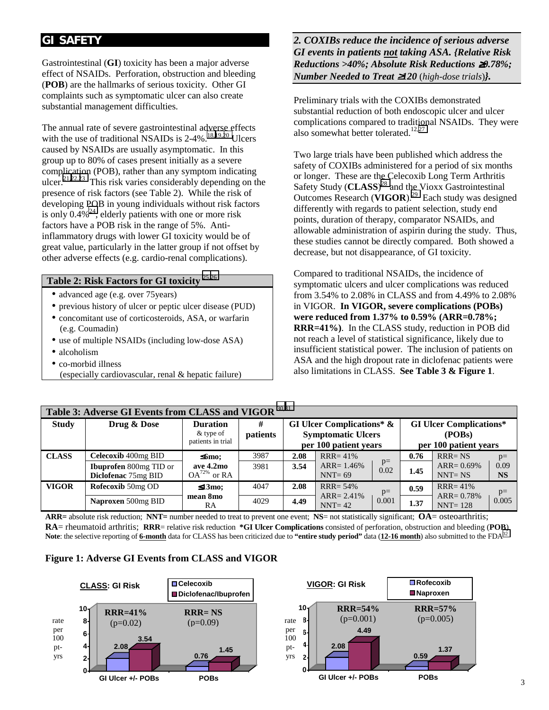### **GI SAFETY**

Gastrointestinal (**GI**) toxicity has been a major adverse effect of NSAIDs. Perforation, obstruction and bleeding (**POB**) are the hallmarks of serious toxicity. Other GI complaints such as symptomatic ulcer can also create substantial management difficulties.

The annual rate of severe gastrointestinal adverse effects with the use of traditional NSAIDs is  $2-4\%$ .<sup>18,19,20</sup> Ulcers caused by NSAIDs are usually asymptomatic. In this group up to 80% of cases present initially as a severe complication (POB), rather than any symptom indicating ulcer.<sup>21,22,23</sup> This risk varies considerably depending on the presence of risk factors (see Table 2). While the risk of developing POB in young individuals without risk factors is only  $0.4\%^{24}$ , elderly patients with one or more risk factors have a POB risk in the range of 5%. Antiinflammatory drugs with lower GI toxicity would be of great value, particularly in the latter group if not offset by other adverse effects (e.g. cardio-renal complications).

### **Table 2: Risk Factors for GI toxicity** [25,26](#page-7-0)

- advanced age (e.g. over 75years)
- previous history of ulcer or peptic ulcer disease (PUD)
- concomitant use of corticosteroids, ASA, or warfarin (e.g. Coumadin)
- use of multiple NSAIDs (including low-dose ASA)
- alcoholism
- co-morbid illness
- (especially cardiovascular, renal & hepatic failure)

*2. COXIBs reduce the incidence of serious adverse GI events in patients not taking ASA. {Relative Risk Reductions >40%; Absolute Risk Reductions* ≥*0.78%; Number Needed to Treat* ≥*120* (*high-dose trials*)*}.*

Preliminary trials with the COXIBs demonstrated substantial reduction of both endoscopic ulcer and ulcer complications compared to traditional NSAIDs. They were also somewhat better tolerated.<sup>12,[27](#page-7-0)</sup>

Two large trials have been published which address the safety of COXIBs administered for a period of six months or longer. These are the Celecoxib Long Term Arthritis Safety Study (**CLASS**) [28 a](#page-7-0)nd the Vioxx Gastrointestinal Outcomes Research (**VIGOR**)[.29](#page-7-0) Each study was designed differently with regards to patient selection, study end points, duration of therapy, comparator NSAIDs, and allowable administration of aspirin during the study. Thus, these studies cannot be directly compared. Both showed a decrease, but not disappearance, of GI toxicity.

Compared to traditional NSAIDs, the incidence of symptomatic ulcers and ulcer complications was reduced from 3.54% to 2.08% in CLASS and from 4.49% to 2.08% in VIGOR. **In VIGOR, severe complications (POBs) were reduced from 1.37% to 0.59% (ARR=0.78%; RRR=41%)**. In the CLASS study, reduction in POB did not reach a level of statistical significance, likely due to insufficient statistical power. The inclusion of patients on ASA and the high dropout rate in diclofenac patients were also limitations in CLASS. **See Table 3 & Figure 1**.

|              | Table 3: Adverse GI Events from CLASS and VIGOR 30,31 |                                                     |               |                                                                                            |                              |              |      |                                                                   |                   |  |
|--------------|-------------------------------------------------------|-----------------------------------------------------|---------------|--------------------------------------------------------------------------------------------|------------------------------|--------------|------|-------------------------------------------------------------------|-------------------|--|
| <b>Study</b> | Drug & Dose                                           | <b>Duration</b><br>$&$ type of<br>patients in trial | #<br>patients | <b>GI Ulcer Complications* &amp;</b><br><b>Symptomatic Ulcers</b><br>per 100 patient years |                              |              |      | <b>GI Ulcer Complications*</b><br>(POBs)<br>per 100 patient years |                   |  |
| <b>CLASS</b> | Celecoxib 400mg BID                                   | $\leq$ 6mo;                                         | 3987          | 2.08                                                                                       | $RRR = 41\%$                 |              | 0.76 | $RRR = NS$                                                        | $p=$              |  |
|              | <b>Ibuprofen</b> 800mg TID or<br>Diclofenac 75mg BID  | ave 4.2mo<br>$OA^{72\%}$ or RA                      | 3981          | 3.54                                                                                       | $ARR = 1.46\%$<br>$NNT = 69$ | $p=$<br>0.02 | 1.45 | $ARR = 0.69\%$<br>$NNT = NS$                                      | 0.09<br><b>NS</b> |  |
| <b>VIGOR</b> | Rofecoxib 50mg OD                                     | $\leq 13$ mo;                                       | 4047          | 2.08                                                                                       | $RRR = 54%$                  | $p=$         | 0.59 | $RRR = 41%$                                                       | $p=$              |  |
|              | Naproxen 500mg BID                                    | mean 8mo<br>RA                                      | 4029          | 4.49                                                                                       | $ARR = 2.41\%$<br>$NNT = 42$ | 0.001        | 1.37 | $ARR = 0.78%$<br>$NNT = 128$                                      | 0.005             |  |

**ARR=** absolute risk reduction; **NNT=** number needed to treat to prevent one event; **NS**= not statistically significant; **OA**= osteoarthritis; **RA**= rheumatoid arthritis; **RRR**= relative risk reduction **\*GI Ulcer Complications** consisted of perforation, obstruction and bleeding (**POB**) Note: the selective reporting of **6-month** data for CLASS has been criticized due to "entire study period" data (12-16 month) also submitted to the FDA<sup>32</sup>

#### **Figure 1: Adverse GI Events from CLASS and VIGOR**

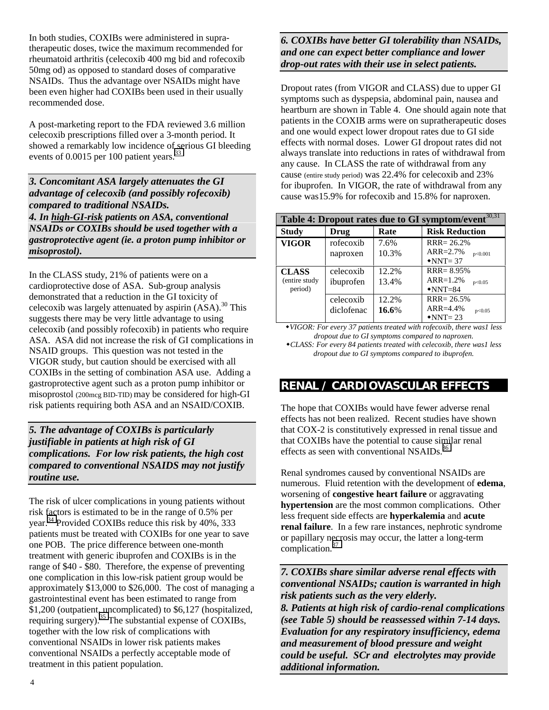In both studies, COXIBs were administered in supratherapeutic doses, twice the maximum recommended for rheumatoid arthritis (celecoxib 400 mg bid and rofecoxib 50mg od) as opposed to standard doses of comparative NSAIDs. Thus the advantage over NSAIDs might have been even higher had COXIBs been used in their usually recommended dose.

A post-marketing report to the FDA reviewed 3.6 million celecoxib prescriptions filled over a 3-month period. It showed a remarkably low incidence of serious GI bleeding events of 0.0015 per 100 patient years.<sup>[33](#page-7-0)</sup>

*3. Concomitant ASA largely attenuates the GI advantage of celecoxib (and possibly rofecoxib) compared to traditional NSAIDs. 4. In high-GI-risk patients on ASA, conventional NSAIDs or COXIBs should be used together with a gastroprotective agent (ie. a proton pump inhibitor or misoprostol).*

In the CLASS study, 21% of patients were on a cardioprotective dose of ASA. Sub-group analysis demonstrated that a reduction in the GI toxicity of celecoxib was largely attenuated by aspirin  $(ASA)^{30}$  This suggests there may be very little advantage to using celecoxib (and possibly rofecoxib) in patients who require ASA. ASA did not increase the risk of GI complications in NSAID groups. This question was not tested in the VIGOR study, but caution should be exercised with all COXIBs in the setting of combination ASA use. Adding a gastroprotective agent such as a proton pump inhibitor or misoprostol (200mcg BID-TID) may be considered for high-GI risk patients requiring both ASA and an NSAID/COXIB.

*5. The advantage of COXIBs is particularly justifiable in patients at high risk of GI complications. For low risk patients, the high cost compared to conventional NSAIDS may not justify routine use.*

The risk of ulcer complications in young patients without risk factors is estimated to be in the range of 0.5% per year.<sup>34</sup> Provided COXIBs reduce this risk by 40%, 333 patients must be treated with COXIBs for one year to save one POB. The price difference between one-month treatment with generic ibuprofen and COXIBs is in the range of \$40 - \$80. Therefore, the expense of preventing one complication in this low-risk patient group would be approximately \$13,000 to \$26,000. The cost of managing a gastrointestinal event has been estimated to range from \$1,200 (outpatient, uncomplicated) to \$6,127 (hospitalized, requiring surgery).<sup>35</sup> The substantial expense of COXIBs, together with the low risk of complications with conventional NSAIDs in lower risk patients makes conventional NSAIDs a perfectly acceptable mode of treatment in this patient population.

### *6. COXIBs have better GI tolerability than NSAIDs, and one can expect better compliance and lower drop-out rates with their use in select patients.*

Dropout rates (from VIGOR and CLASS) due to upper GI symptoms such as dyspepsia, abdominal pain, nausea and heartburn are shown in Table 4. One should again note that patients in the COXIB arms were on supratherapeutic doses and one would expect lower dropout rates due to GI side effects with normal doses. Lower GI dropout rates did not always translate into reductions in rates of withdrawal from any cause. In CLASS the rate of withdrawal from any cause (entire study period) was 22.4% for celecoxib and 23% for ibuprofen. In VIGOR, the rate of withdrawal from any cause was15.9% for rofecoxib and 15.8% for naproxen.

| Table 4: Dropout rates due to GI symptom/event <sup>30,31</sup> |            |       |                              |  |  |  |
|-----------------------------------------------------------------|------------|-------|------------------------------|--|--|--|
| <b>Study</b>                                                    | Drug       | Rate  | <b>Risk Reduction</b>        |  |  |  |
| <b>VIGOR</b>                                                    | rofecoxib  | 7.6%  | $RRR = 26.2%$                |  |  |  |
|                                                                 | naproxen   | 10.3% | $ARR = 2.7%$<br>p<0.001      |  |  |  |
|                                                                 |            |       | $\triangle$ NNT= 37          |  |  |  |
| <b>CLASS</b>                                                    | celecoxib  | 12.2% | $RRR = 8.95%$                |  |  |  |
| (entire study                                                   | ibuprofen  | 13.4% | $ARR=1.2%$<br>p<0.05         |  |  |  |
| period)                                                         |            |       | $\blacktriangleright$ NNT=84 |  |  |  |
|                                                                 | celecoxib  | 12.2% | $RRR = 26.5%$                |  |  |  |
|                                                                 | diclofenac | 16.6% | $ARR = 4.4%$<br>p<0.05       |  |  |  |
|                                                                 |            |       | $\triangle$ NNT=23           |  |  |  |

*VIGOR: For every 37 patients treated with rofecoxib, there was1 less dropout due to GI symptoms compared to naproxen. CLASS: For every 84 patients treated with celecoxib, there was1 less dropout due to GI symptoms compared to ibuprofen.*

## **RENAL / CARDIOVASCULAR EFFECTS**

The hope that COXIBs would have fewer adverse renal effects has not been realized. Recent studies have shown that COX-2 is constitutively expressed in renal tissue and that COXIBs have the potential to cause similar renal effects as seen with conventional NSAIDs.<sup>[36](#page-7-0)</sup>

Renal syndromes caused by conventional NSAIDs are numerous. Fluid retention with the development of **edema**, worsening of **congestive heart failure** or aggravating **hypertension** are the most common complications. Other less frequent side effects are **hyperkalemia** and **acute renal failure**. In a few rare instances, nephrotic syndrome or papillary necrosis may occur, the latter a long-term complication.[37](#page-7-0)

*7. COXIBs share similar adverse renal effects with conventional NSAIDs; caution is warranted in high risk patients such as the very elderly.*

*8. Patients at high risk of cardio-renal complications (see Table 5) should be reassessed within 7-14 days. Evaluation for any respiratory insufficiency, edema and measurement of blood pressure and weight could be useful. SCr and electrolytes may provide additional information.*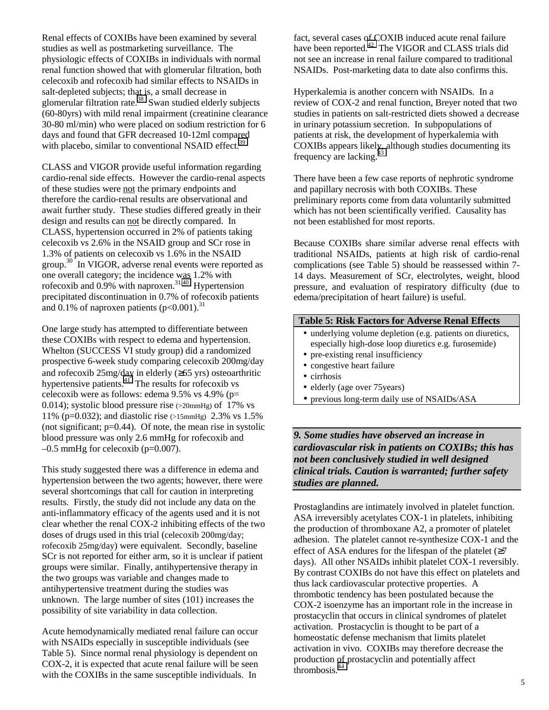Renal effects of COXIBs have been examined by several studies as well as postmarketing surveillance. The physiologic effects of COXIBs in individuals with normal renal function showed that with glomerular filtration, both celecoxib and rofecoxib had similar effects to NSAIDs in salt-depleted subjects; that is, a small decrease in glomerular filtration rate. $38$  Swan studied elderly subjects (60-80yrs) with mild renal impairment (creatinine clearance 30-80 ml/min) who were placed on sodium restriction for 6 days and found that GFR decreased 10-12ml compared with placebo, similar to conventional NSAID effect.<sup>39</sup>

CLASS and VIGOR provide useful information regarding cardio-renal side effects. However the cardio-renal aspects of these studies were not the primary endpoints and therefore the cardio-renal results are observational and await further study. These studies differed greatly in their design and results can not be directly compared. In CLASS, hypertension occurred in 2% of patients taking celecoxib vs 2.6% in the NSAID group and SCr rose in 1.3% of patients on celecoxib vs 1.6% in the NSAID group.<sup>30</sup> In VIGOR, adverse renal events were reported as one overall category; the incidence was 1.2% with rofecoxib and  $0.9\%$  with naproxen.<sup>31,40</sup> Hypertension precipitated discontinuation in 0.7% of rofecoxib patients and 0.1% of naproxen patients  $(p<0.001)^{31}$ 

One large study has attempted to differentiate between these COXIBs with respect to edema and hypertension. Whelton (SUCCESS VI study group) did a randomized prospective 6-week study comparing celecoxib 200mg/day and rofecoxib 25mg/day in elderly (≥65 yrs) osteoarthritic hypertensive patients.<sup>41</sup> The results for rofecoxib vs celecoxib were as follows: edema 9.5% vs 4.9% (p= 0.014); systolic blood pressure rise (>20mmHg) of 17% vs 11% (p=0.032); and diastolic rise (>15mmHg) 2.3% vs 1.5% (not significant;  $p=0.44$ ). Of note, the mean rise in systolic blood pressure was only 2.6 mmHg for rofecoxib and  $-0.5$  mmHg for celecoxib (p=0.007).

This study suggested there was a difference in edema and hypertension between the two agents; however, there were several shortcomings that call for caution in interpreting results. Firstly, the study did not include any data on the anti-inflammatory efficacy of the agents used and it is not clear whether the renal COX-2 inhibiting effects of the two doses of drugs used in this trial (celecoxib 200mg/day; rofecoxib 25mg/day) were equivalent. Secondly, baseline SCr is not reported for either arm, so it is unclear if patient groups were similar. Finally, antihypertensive therapy in the two groups was variable and changes made to antihypertensive treatment during the studies was unknown. The large number of sites (101) increases the possibility of site variability in data collection.

Acute hemodynamically mediated renal failure can occur with NSAIDs especially in susceptible individuals (see Table 5). Since normal renal physiology is dependent on COX-2, it is expected that acute renal failure will be seen with the COXIBs in the same susceptible individuals. In

fact, several cases of COXIB induced acute renal failure have been reported.<sup>42</sup> The VIGOR and CLASS trials did not see an increase in renal failure compared to traditional NSAIDs. Post-marketing data to date also confirms this.

Hyperkalemia is another concern with NSAIDs. In a review of COX-2 and renal function, Breyer noted that two studies in patients on salt-restricted diets showed a decrease in urinary potassium secretion. In subpopulations of patients at risk, the development of hyperkalemia with COXIBs appears likely, although studies documenting its frequency are lacking.

There have been a few case reports of nephrotic syndrome and papillary necrosis with both COXIBs. These preliminary reports come from data voluntarily submitted which has not been scientifically verified. Causality has not been established for most reports.

Because COXIBs share similar adverse renal effects with traditional NSAIDs, patients at high risk of cardio-renal complications (see Table 5) should be reassessed within 7- 14 days. Measurement of SCr, electrolytes, weight, blood pressure, and evaluation of respiratory difficulty (due to edema/precipitation of heart failure) is useful.

#### **Table 5: Risk Factors for Adverse Renal Effects**

- underlying volume depletion (e.g. patients on diuretics, especially high-dose loop diuretics e.g. furosemide)
- pre-existing renal insufficiency
- congestive heart failure
- cirrhosis
- elderly (age over 75 years)
- previous long-term daily use of NSAIDs/ASA

*9. Some studies have observed an increase in cardiovascular risk in patients on COXIBs; this has not been conclusively studied in well designed clinical trials. Caution is warranted; further safety studies are planned.*

Prostaglandins are intimately involved in platelet function. ASA irreversibly acetylates COX-1 in platelets, inhibiting the production of thromboxane A2, a promoter of platelet adhesion. The platelet cannot re-synthesize COX-1 and the effect of ASA endures for the lifespan of the platelet  $(\geq 7)$ days). All other NSAIDs inhibit platelet COX-1 reversibly. By contrast COXIBs do not have this effect on platelets and thus lack cardiovascular protective properties. A thrombotic tendency has been postulated because the COX-2 isoenzyme has an important role in the increase in prostacyclin that occurs in clinical syndromes of platelet activation. Prostacyclin is thought to be part of a homeostatic defense mechanism that limits platelet activation in vivo. COXIBs may therefore decrease the production of prostacyclin and potentially affect thrombosis. $4\overline{4}$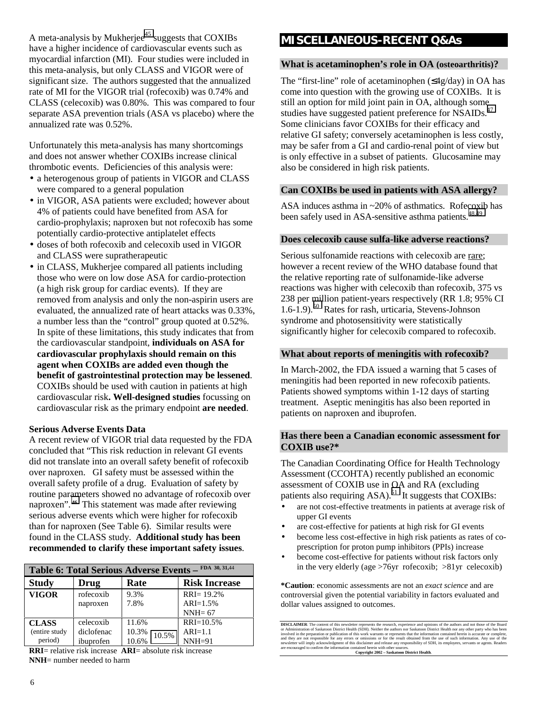A meta-analysis by Mukherjee $45$  suggests that COXIBs have a higher incidence of cardiovascular events such as myocardial infarction (MI). Four studies were included in this meta-analysis, but only CLASS and VIGOR were of significant size. The authors suggested that the annualized rate of MI for the VIGOR trial (rofecoxib) was 0.74% and CLASS (celecoxib) was 0.80%. This was compared to four separate ASA prevention trials (ASA vs placebo) where the annualized rate was 0.52%.

Unfortunately this meta-analysis has many shortcomings and does not answer whether COXIBs increase clinical thrombotic events. Deficiencies of this analysis were:

- a heterogenous group of patients in VIGOR and CLASS were compared to a general population
- in VIGOR, ASA patients were excluded; however about 4% of patients could have benefited from ASA for cardio-prophylaxis; naproxen but not rofecoxib has some potentially cardio-protective antiplatelet effects
- doses of both rofecoxib and celecoxib used in VIGOR and CLASS were supratherapeutic
- in CLASS, Mukherjee compared all patients including those who were on low dose ASA for cardio-protection (a high risk group for cardiac events). If they are removed from analysis and only the non-aspirin users are evaluated, the annualized rate of heart attacks was 0.33%, a number less than the "control" group quoted at 0.52%. In spite of these limitations, this study indicates that from the cardiovascular standpoint, **individuals on ASA for cardiovascular prophylaxis should remain on this agent when COXIBs are added even though the benefit of gastrointestinal protection may be lessened**. COXIBs should be used with caution in patients at high cardiovascular risk**. Well-designed studies** focussing on cardiovascular risk as the primary endpoint **are needed**.

#### **Serious Adverse Events Data**

A recent review of VIGOR trial data requested by the FDA concluded that "This risk reduction in relevant GI events did not translate into an overall safety benefit of rofecoxib over naproxen. GI safety must be assessed within the overall safety profile of a drug. Evaluation of safety by routine parameters showed no advantage of rofecoxib over naproxen". **[46](#page-7-0)** This statement was made after reviewing serious adverse events which were higher for rofecoxib than for naproxen (See Table 6). Similar results were found in the CLASS study. **Additional study has been recommended to clarify these important safety issues**.

| FDA 30, 31,44<br>Table 6: Total Serious Adverse Events - |            |                |                      |  |  |  |  |
|----------------------------------------------------------|------------|----------------|----------------------|--|--|--|--|
| <b>Study</b>                                             | Drug       | Rate           | <b>Risk Increase</b> |  |  |  |  |
| <b>VIGOR</b>                                             | rofecoxib  | 9.3%           | $RRI = 19.2%$        |  |  |  |  |
|                                                          | naproxen   | 7.8%           | $ARI = 1.5%$         |  |  |  |  |
|                                                          |            |                | $NNH = 67$           |  |  |  |  |
| <b>CLASS</b>                                             | celecoxib  | 11.6%          | $RRI = 10.5%$        |  |  |  |  |
| (entire study                                            | diclofenac | 10.3%<br>10.5% | $ARI=1.1$            |  |  |  |  |
| period)                                                  | ibuprofen  | 10.6%          | $NNH=91$             |  |  |  |  |

**RRI**= relative risk increase **ARI**= absolute risk increase **NNH**= number needed to harm

### **MISCELLANEOUS-RECENT Q&As**

#### **What is acetaminophen's role in OA (osteoarthritis)?**

The "first-line" role of acetaminophen (≤4g/day) in OA has come into question with the growing use of COXIBs. It is still an option for mild joint pain in OA, although some studies have suggested patient preference for NSAIDs.<sup>4</sup> Some clinicians favor COXIBs for their efficacy and relative GI safety; conversely acetaminophen is less costly, may be safer from a GI and cardio-renal point of view but is only effective in a subset of patients. Glucosamine may also be considered in high risk patients.

#### **Can COXIBs be used in patients with ASA allergy?**

ASA induces asthma in ~20% of asthmatics. Rofecoxib has been safely used in ASA-sensitive asthma patients.<sup>[48,49](#page-7-0)</sup>

#### **Does celecoxib cause sulfa-like adverse reactions?**

Serious sulfonamide reactions with celecoxib are rare; however a recent review of the WHO database found that the relative reporting rate of sulfonamide-like adverse reactions was higher with celecoxib than rofecoxib, 375 vs 238 per million patient-years respectively (RR 1.8; 95% CI 1.6-1.9).[50](#page-7-0) Rates for rash, urticaria, Stevens-Johnson syndrome and photosensitivity were statistically significantly higher for celecoxib compared to rofecoxib.

#### **What about reports of meningitis with rofecoxib?**

In March-2002, the FDA issued a warning that 5 cases of meningitis had been reported in new rofecoxib patients. Patients showed symptoms within 1-12 days of starting treatment. Aseptic meningitis has also been reported in patients on naproxen and ibuprofen.

#### **Has there been a Canadian economic assessment for COXIB use?\***

The Canadian Coordinating Office for Health Technology Assessment (CCOHTA) recently published an economic assessment of COXIB use in OA and RA (excluding patients also requiring  $ASA$ .<sup>51</sup> It suggests that COXIBs:

- are not cost-effective treatments in patients at average risk of upper GI events
- are cost-effective for patients at high risk for GI events
- become less cost-effective in high risk patients as rates of coprescription for proton pump inhibitors (PPIs) increase
- become cost-effective for patients without risk factors only in the very elderly (age >76yr rofecoxib; >81yr celecoxib)

**\*Caution**: economic assessments are not an *exact science* and are controversial given the potential variability in factors evaluated and dollar values assigned to outcomes.

**DISCLAIMER:** The content of this newsletter represents the research, experience and opinions of the authors and not tose of the Boudderical Correlation of Saskatoon District Health (SDH). Neither the authors nor Saskatoon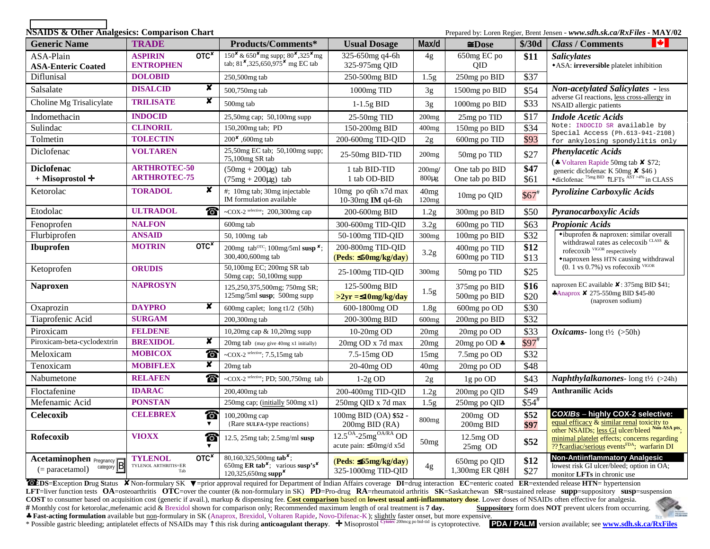**NSAIDS & Other Analgesics: Comparison Chart** *Prepared by: Loren Regier, Brent Jensen - www.sdh.sk.ca/RxFiles* **<b>- MAY/02** 

| <b>Generic Name</b>                               | <b>TRADE</b>                                                      | Products/Comments*                                                                                                                                         | <b>Usual Dosage</b>                                      | Max/d                     | $\cong$ Dose                     | \$/30d             | N.<br><b>Class / Comments</b>                                                                                                                                         |
|---------------------------------------------------|-------------------------------------------------------------------|------------------------------------------------------------------------------------------------------------------------------------------------------------|----------------------------------------------------------|---------------------------|----------------------------------|--------------------|-----------------------------------------------------------------------------------------------------------------------------------------------------------------------|
| ASA-Plain<br><b>ASA-Enteric Coated</b>            | OTC <sup>x</sup><br><b>ASPIRIN</b><br><b>ENTROPHEN</b>            | $150^{\texttt{x}}$ & 650 $^{\texttt{x}}$ mg supp; 80 $^{\texttt{x}}$ , 325 $^{\texttt{x}}$ mg<br>tab; $81^{\times}$ , 325, 650, 975 <sup>x</sup> mg EC tab | 325-650mg q4-6h<br>325-975mg QID                         | 4g                        | 650mg EC po<br><b>OID</b>        | \$11               | <b>Salicylates</b><br>• ASA: irreversible platelet inhibition                                                                                                         |
| Diflunisal                                        | <b>DOLOBID</b>                                                    | 250,500mg tab                                                                                                                                              | 250-500mg BID                                            | 1.5g                      | 250mg po BID                     | \$37               |                                                                                                                                                                       |
| Salsalate                                         | $\overline{\mathbf{x}}$<br><b>DISALCID</b>                        | 500,750mg tab                                                                                                                                              | 1000mg TID                                               | 3g                        | 1500mg po BID                    | \$54               | <b>Non-acetylated Salicylates - less</b>                                                                                                                              |
| Choline Mg Trisalicylate                          | x<br><b>TRILISATE</b>                                             | 500mg tab                                                                                                                                                  | $1-1.5g$ BID                                             | 3g                        | 1000mg po BID                    | \$33               | adverse GI reactions, less cross-allergy in<br>NSAID allergic patients                                                                                                |
| Indomethacin                                      | <b>INDOCID</b>                                                    | 25,50mg cap; 50,100mg supp                                                                                                                                 | 25-50mg TID                                              | 200mg                     | 25mg po TID                      | \$17               | <b>Indole Acetic Acids</b>                                                                                                                                            |
| Sulindac                                          | <b>CLINORIL</b>                                                   | 150,200mg tab; PD                                                                                                                                          | 150-200mg BID                                            | 400mg                     | 150mg po BID                     | \$34               | Note: INDOCID SR available by<br>Special Access (Ph. 613-941-2108)                                                                                                    |
| Tolmetin                                          | <b>TOLECTIN</b>                                                   | 200 <sup>x</sup> ,600mg tab                                                                                                                                | 200-600mg TID-QID                                        | 2g                        | 600mg po TID                     | \$93               | for ankylosing spondylitis only                                                                                                                                       |
| Diclofenac                                        | <b>VOLTAREN</b>                                                   | 25,50mg EC tab; 50,100mg supp;<br>75,100mg SR tab                                                                                                          | 25-50mg BID-TID                                          | 200mg                     | 50mg po TID                      | \$27               | <b>Phenylacetic Acids</b><br>(* Voltaren Rapide 50mg tab $\times$ \$72;                                                                                               |
| <b>Diclofenac</b><br>$+$ Misoprostol $+$          | <b>ARTHROTEC-50</b><br><b>ARTHROTEC-75</b>                        | $(50mg + 200\mu g)$ tab<br>$(75mg + 200\mu g)$ tab                                                                                                         | 1 tab BID-TID<br>1 tab OD-BID                            | $200$ mg/<br>$800 \mu g$  | One tab po BID<br>One tab po BID | \$47<br>\$61       | generic diclofenac K 50mg $\times$ \$46)<br>$\bullet$ diclofenac <sup>75mg BID</sup> TLFTs AST >4% in CLASS                                                           |
| Ketorolac                                         | $\boldsymbol{x}$<br><b>TORADOL</b>                                | #; 10mg tab; 30mg injectable<br>IM formulation available                                                                                                   | 10mg po q6h x7d max<br>10-30mg IM q4-6h                  | 40 <sub>mg</sub><br>120mg | 10mg po QID                      | $$67$ <sup>#</sup> | Pyrolizine Carboxylic Acids                                                                                                                                           |
| Etodolac                                          | <b>ULTRADOL</b><br>◈                                              | ~COX-2 selective; $200,300$ mg cap                                                                                                                         | 200-600mg BID                                            | 1.2g                      | 300mg po BID                     | \$50               | Pyranocarboxylic Acids                                                                                                                                                |
| Fenoprofen                                        | <b>NALFON</b>                                                     | 600mg tab                                                                                                                                                  | 300-600mg TID-QID                                        | 3.2 <sub>g</sub>          | 600mg po TID                     | \$63               | <b>Propionic Acids</b>                                                                                                                                                |
| Flurbiprofen                                      | <b>ANSAID</b>                                                     | 50, 100mg tab                                                                                                                                              | 50-100mg TID-QID                                         | 300 <sub>mg</sub>         | 100mg po BID                     | \$32               | •ibuprofen & naproxen: similar overall                                                                                                                                |
| Ibuprofen                                         | OTC <sup>x</sup><br><b>MOTRIN</b>                                 | 200mg tab <sup>orc</sup> ; 100mg/5ml susp <sup>x</sup> ;<br>300,400,600mg tab                                                                              | 200-800mg TID-QID<br>$(Peds: \leq 50mg/kg/day)$          | 3.2 <sub>g</sub>          | 400mg po TID<br>600mg po TID     | \$12<br>\$13       | withdrawal rates as celecoxib <sup>CLASS</sup> &<br>rofecoxib $VIGOR$ respectively<br>*naproxen less HTN causing withdrawal                                           |
| Ketoprofen                                        | <b>ORUDIS</b>                                                     | 50,100mg EC; 200mg SR tab<br>50mg cap; 50,100mg supp                                                                                                       | 25-100mg TID-QID                                         | 300 <sub>mg</sub>         | 50mg po TID                      | \$25               | $(0.1 \text{ vs } 0.7\%)$ vs rofecoxib VIGOR                                                                                                                          |
| <b>Naproxen</b>                                   | <b>NAPROSYN</b>                                                   | 125,250,375,500mg; 750mg SR;<br>125mg/5ml susp; 500mg supp                                                                                                 | 125-500mg BID<br>$>2yr = 10mg/kg/day$                    | 1.5 <sub>g</sub>          | 375mg po BID<br>500mg po BID     | \$16<br>\$20       | naproxen EC available $\boldsymbol{\mathsf{X}}$ : 375mg BID \$41;<br>*Anaprox × 275-550mg BID \$45-80<br>(naproxen sodium)                                            |
| Oxaprozin                                         | ×<br><b>DAYPRO</b>                                                | 600mg caplet; $long\ t1/2$ (50h)                                                                                                                           | 600-1800mg OD                                            | 1.8 <sub>g</sub>          | 600mg po OD                      | \$30               |                                                                                                                                                                       |
| Tiaprofenic Acid                                  | <b>SURGAM</b>                                                     | 200,300mg tab                                                                                                                                              | 200-300mg BID                                            | $600$ mg                  | 200mg po BID                     | \$32               |                                                                                                                                                                       |
| Piroxicam                                         | <b>FELDENE</b>                                                    | 10,20mg cap & 10,20mg supp                                                                                                                                 | $10-20mg$ OD                                             | 20mg                      | 20mg po OD                       | \$33               | <i>Oxicams</i> - long $t\frac{1}{2}$ (>50h)                                                                                                                           |
| Piroxicam-beta-cyclodextrin                       | x<br><b>BREXIDOL</b>                                              | 20mg tab (may give 40mg x1 initially)                                                                                                                      | 20mg OD x 7d max                                         | 20mg                      | 20mg po OD *                     | $$97$ <sup>#</sup> |                                                                                                                                                                       |
| Meloxicam                                         | <b>MOBICOX</b><br>◈                                               | ~ $COX$ -2 selective; 7.5,15mg tab                                                                                                                         | 7.5-15mg OD                                              | 15mg                      | 7.5mg po OD                      | \$32               |                                                                                                                                                                       |
| Tenoxicam                                         | $\overline{\mathbf{x}}$<br><b>MOBIFLEX</b>                        | 20 <sub>mg</sub> tab                                                                                                                                       | 20-40mg OD                                               | 40 <sub>mg</sub>          | 20mg po OD                       | \$48               |                                                                                                                                                                       |
| Nabumetone                                        | <b>RELAFEN</b><br>◈                                               | ~COX-2 selective; PD; $500,750$ mg tab                                                                                                                     | $1-2g$ OD                                                | 2g                        | 1g po OD                         | \$43               | <b>Naphthylalkanones-</b> long $t\frac{1}{2}$ (>24h)                                                                                                                  |
| Floctafenine                                      | <b>IDARAC</b>                                                     | 200,400mg tab                                                                                                                                              | 200-400mg TID-QID                                        | 1.2g                      | 200mg po QID                     | \$49               | <b>Anthranilic Acids</b>                                                                                                                                              |
| Mefenamic Acid                                    | <b>PONSTAN</b>                                                    | 250mg cap; (initially 500mg x1)                                                                                                                            | 250mg QID x 7d max                                       | 1.5 <sub>g</sub>          | 250mg po QID                     | $$54$ <sup>#</sup> |                                                                                                                                                                       |
| <b>Celecoxib</b>                                  | <b>CELEBREX</b><br>◈<br>$\blacktriangledown$                      | 100,200mg cap<br>{Rare SULFA-type reactions}                                                                                                               | 100mg BID (OA) \$52 -<br>200mg BID (RA)                  | 800 <sub>mg</sub>         | 200mg OD<br>200mg BID            | \$52<br>\$97       | <b>COXIBs</b> - highly COX-2 selective:<br>equal efficacy & similar renal toxicity to<br>other NSAIDs; <u>less GI</u> ulcer/bleed <sup>Non-ASA</sup> pts <sub>;</sub> |
| Rofecoxib                                         | <b>VIOXX</b><br>◈                                                 | 12.5, $25mg$ tab; $2.5mg/ml$ susp                                                                                                                          | $12.5OA - 25mgOA/RA OD$<br>acute pain: $\leq$ 50mg/d x5d | 50mg                      | $12.5mg$ OD<br>25mg OD           | \$52               | minimal platelet effects; concerns regarding<br>?? <sup>1</sup> cardiac/serious events <sup>FDA</sup> ; warfarin DI                                                   |
| Acetaminophen Pregnancy B<br>$(=$ paracetamol $)$ | OTC <sup>x</sup><br><b>TYLENOL</b><br>TYLENOL ARTHRITIS=ER<br>Tab | 80,160,325,500mg $\text{tab}^{\mathsf{x}}$ ;<br>650mg ER tab <sup>x</sup> ; various susp's <sup>x</sup><br>$120,325,650$ mg supp <sup>x</sup>              | $(Peds: \leq 65mg/kg/day)$<br>325-1000mg TID-QID         | 4g                        | 650mg po QID<br>1,300mg ER Q8H   | \$12<br>\$27       | <b>Non-Antiinflammatory Analgesic</b><br>lowest risk GI ulcer/bleed; option in OA;<br>monitor LFTs in chronic use                                                     |

€ EDS=Exception Drug Status X Non-formulary SK V=prior approval required for Department of Indian Affairs coverage DI=drug interaction EC=enteric coated ER=extended release HTN= hypertension LFT=liver function tests OA=osteoarthritis OTC=over the counter (& non-formulary in SK) PD=Pro-drug RA=rheumatoid arthritis SK=Saskatchewan SR=sustained release supp=suppository susp=suspension **COST** to consumer based on acquisition cost (generic if avail.), markup & dispensing fee. Cost comparison based on lowest usual anti-inflammatory dose. Lower doses of NSAIDs often effective for analgesia.<br># Monthly cost f # Monthly cost for ketorolac,mefenamic acid & Brexidol shown for comparison only; Recommended maximum length of oral treatment is **7 day.** 

\* Fast-acting formulation available but <u>non</u>-formulary in SK (Anaprox, Brexidol, Voltaren Rapide, Novo-Difenac-K); slightly faster onset, but more expensive.<br>\* Possible gastric bleeding; antiplatelet effects of NSAIDs ma